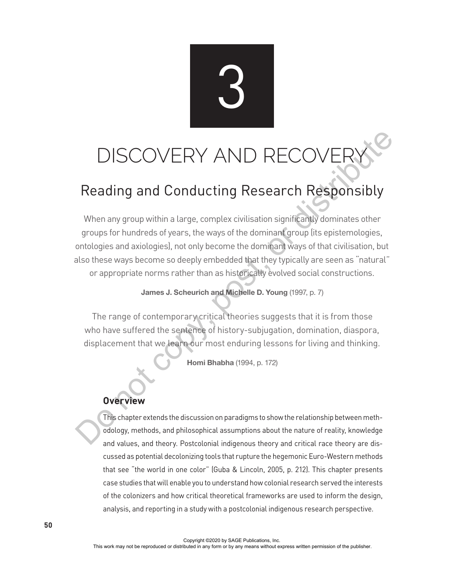# 3

# DISCOVERY AND RECOV

# Reading and Conducting Research Responsibly

When any group within a large, complex civilisation significantly dominates other groups for hundreds of years, the ways of the dominant group (its epistemologies, ontologies and axiologies), not only become the dominant ways of that civilisation, but also these ways become so deeply embedded that they typically are seen as "natural" or appropriate norms rather than as historically evolved social constructions. DISCOVERY AND RECOVERY<br>
Reading and Conducting Research Responsibly<br>
When any group within a large, complex civilisation significantly dominates other<br>
groups for hundreds of years, the ways of the dominant group lits epis

#### James J. Scheurich and Michelle D. Young (1997, p. 7)

The range of contemporary critical theories suggests that it is from those who have suffered the sentence of history-subjugation, domination, diaspora, displacement that we learn our most enduring lessons for living and thinking.

Homi Bhabha (1994, p. 172)

#### **Overview**

This chapter extends the discussion on paradigms to show the relationship between methodology, methods, and philosophical assumptions about the nature of reality, knowledge and values, and theory. Postcolonial indigenous theory and critical race theory are discussed as potential decolonizing tools that rupture the hegemonic Euro-Western methods that see "the world in one color" (Guba & Lincoln, 2005, p. 212). This chapter presents case studies that will enable you to understand how colonial research served the interests of the colonizers and how critical theoretical frameworks are used to inform the design, analysis, and reporting in a study with a postcolonial indigenous research perspective.

Copyright ©2020 by SAGE Publications, Inc.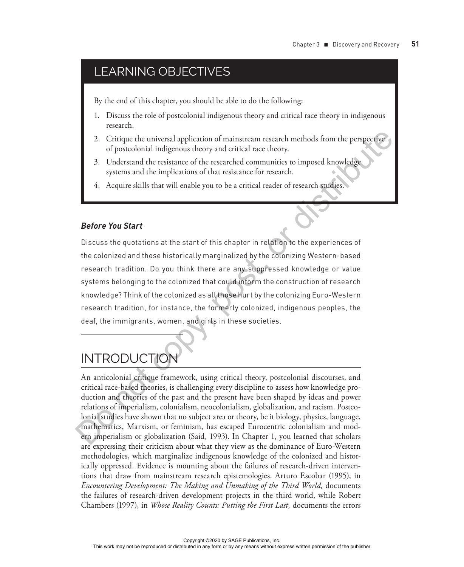# LEARNING OBJECTIVES

By the end of this chapter, you should be able to do the following:

- 1. Discuss the role of postcolonial indigenous theory and critical race theory in indigenous research.
- 2. Critique the universal application of mainstream research methods from the perspective of postcolonial indigenous theory and critical race theory.
- 3. Understand the resistance of the researched communities to imposed knowledge systems and the implications of that resistance for research.
- 4. Acquire skills that will enable you to be a critical reader of research studies.

#### *Before You Start*

Discuss the quotations at the start of this chapter in relation to the experiences of the colonized and those historically marginalized by the colonizing Western-based research tradition. Do you think there are any suppressed knowledge or value systems belonging to the colonized that could inform the construction of research knowledge? Think of the colonized as all those hurt by the colonizing Euro-Western research tradition, for instance, the formerly colonized, indigenous peoples, the deaf, the immigrants, women, and girls in these societies. 2. Critique the universal application of mainstream research methods from the perspective of posteolonial indigenous theory and critical rate theory.<br>
3. Understand the resistance of the researched communities to imposed

# **INTRODUCTION**

An anticolonial critique framework, using critical theory, postcolonial discourses, and critical race-based theories, is challenging every discipline to assess how knowledge production and theories of the past and the present have been shaped by ideas and power relations of imperialism, colonialism, neocolonialism, globalization, and racism. Postcolonial studies have shown that no subject area or theory, be it biology, physics, language, mathematics, Marxism, or feminism, has escaped Eurocentric colonialism and modern imperialism or globalization (Said, 1993). In Chapter 1, you learned that scholars are expressing their criticism about what they view as the dominance of Euro-Western methodologies, which marginalize indigenous knowledge of the colonized and historically oppressed. Evidence is mounting about the failures of research-driven interventions that draw from mainstream research epistemologies. Arturo Escobar (1995), in *Encountering Development: The Making and Unmaking of the Third World,* documents the failures of research-driven development projects in the third world, while Robert Chambers (1997), in *Whose Reality Counts: Putting the First Last,* documents the errors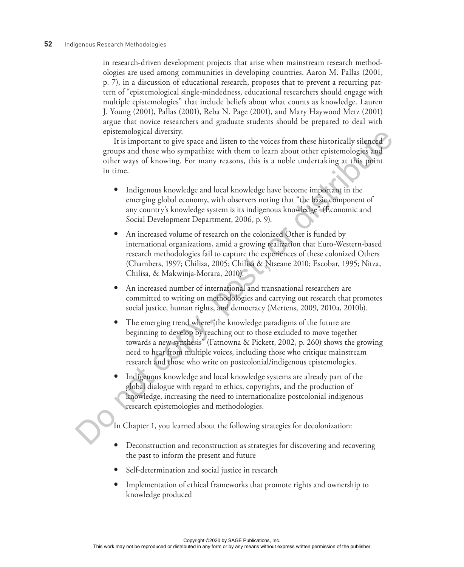in research-driven development projects that arise when mainstream research methodologies are used among communities in developing countries. Aaron M. Pallas (2001, p. 7), in a discussion of educational research, proposes that to prevent a recurring pattern of "epistemological single-mindedness, educational researchers should engage with multiple epistemologies" that include beliefs about what counts as knowledge. Lauren J. Young (2001), Pallas (2001), Reba N. Page (2001), and Mary Haywood Metz (2001) argue that novice researchers and graduate students should be prepared to deal with epistemological diversity.

It is important to give space and listen to the voices from these historically silenced groups and those who sympathize with them to learn about other epistemologies and other ways of knowing. For many reasons, this is a noble undertaking at this point in time.

- Indigenous knowledge and local knowledge have become important in the emerging global economy, with observers noting that "the basic component of any country's knowledge system is its indigenous knowledge" (Economic and Social Development Department, 2006, p. 9).
- An increased volume of research on the colonized Other is funded by international organizations, amid a growing realization that Euro-Western-based research methodologies fail to capture the experiences of these colonized Others (Chambers, 1997; Chilisa, 2005; Chilisa & Ntseane 2010; Escobar, 1995; Nitza, Chilisa, & Makwinja-Morara, 2010).
- An increased number of international and transnational researchers are committed to writing on methodologies and carrying out research that promotes social justice, human rights, and democracy (Mertens, 2009, 2010a, 2010b).
- The emerging trend where "the knowledge paradigms of the future are beginning to develop by reaching out to those excluded to move together towards a new synthesis" (Fatnowna & Pickett, 2002, p. 260) shows the growing need to hear from multiple voices, including those who critique mainstream research and those who write on postcolonial/indigenous epistemologies. entrological directions<br>
It is important to give space and listen to the voices from these historically silenced<br>
groups and those who sympachize with them to learn about other cristerinologies<br>
only other ways of hrowing.
	- Indigenous knowledge and local knowledge systems are already part of the global dialogue with regard to ethics, copyrights, and the production of knowledge, increasing the need to internationalize postcolonial indigenous research epistemologies and methodologies.

In Chapter 1, you learned about the following strategies for decolonization:

- Deconstruction and reconstruction as strategies for discovering and recovering the past to inform the present and future
- Self-determination and social justice in research
- Implementation of ethical frameworks that promote rights and ownership to knowledge produced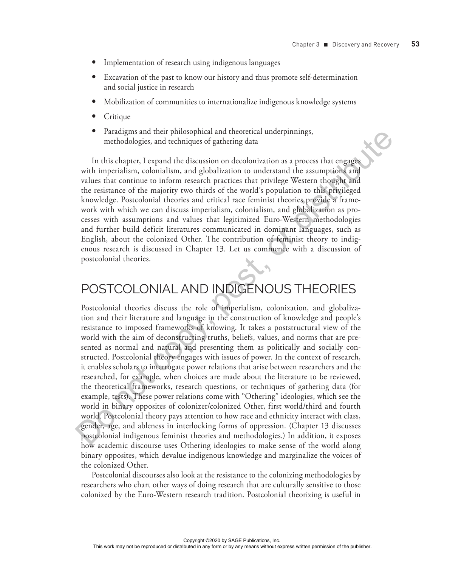- Implementation of research using indigenous languages
- Excavation of the past to know our history and thus promote self-determination and social justice in research
- Mobilization of communities to internationalize indigenous knowledge systems
- **Critique**
- Paradigms and their philosophical and theoretical underpinnings, methodologies, and techniques of gathering data

In this chapter, I expand the discussion on decolonization as a process that engages with imperialism, colonialism, and globalization to understand the assumptions and values that continue to inform research practices that privilege Western thought and the resistance of the majority two thirds of the world's population to this privileged knowledge. Postcolonial theories and critical race feminist theories provide a framework with which we can discuss imperialism, colonialism, and globalization as processes with assumptions and values that legitimized Euro-Western methodologies and further build deficit literatures communicated in dominant languages, such as English, about the colonized Other. The contribution of feminist theory to indigenous research is discussed in Chapter 13. Let us commence with a discussion of postcolonial theories.

# POSTCOLONIAL AND INDIGENOUS THEORIES

Postcolonial theories discuss the role of imperialism, colonization, and globalization and their literature and language in the construction of knowledge and people's resistance to imposed frameworks of knowing. It takes a poststructural view of the world with the aim of deconstructing truths, beliefs, values, and norms that are presented as normal and natural and presenting them as politically and socially constructed. Postcolonial theory engages with issues of power. In the context of research, it enables scholars to interrogate power relations that arise between researchers and the researched, for example, when choices are made about the literature to be reviewed, the theoretical frameworks, research questions, or techniques of gathering data (for example, tests). These power relations come with "Othering" ideologies, which see the world in binary opposites of colonizer/colonized Other, first world/third and fourth world. Postcolonial theory pays attention to how race and ethnicity interact with class, gender, age, and ableness in interlocking forms of oppression. (Chapter 13 discusses postcolonial indigenous feminist theories and methodologies.) In addition, it exposes how academic discourse uses Othering ideologies to make sense of the world along binary opposites, which devalue indigenous knowledge and marginalize the voices of the colonized Other. **Paramyins in the reprintend and the restricts and theoretical and theoretical mathematics and the<br>significant conditions, and used validation of deconvinting and<br>which imperialism, colonization is a process that engage<br>w** 

Postcolonial discourses also look at the resistance to the colonizing methodologies by researchers who chart other ways of doing research that are culturally sensitive to those colonized by the Euro-Western research tradition. Postcolonial theorizing is useful in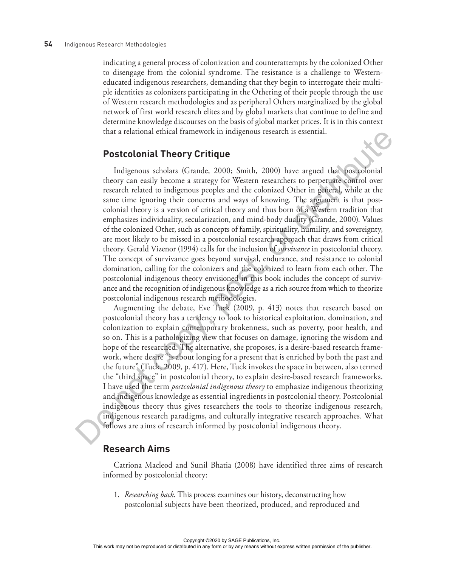indicating a general process of colonization and counterattempts by the colonized Other to disengage from the colonial syndrome. The resistance is a challenge to Westerneducated indigenous researchers, demanding that they begin to interrogate their multiple identities as colonizers participating in the Othering of their people through the use of Western research methodologies and as peripheral Others marginalized by the global network of first world research elites and by global markets that continue to define and determine knowledge discourses on the basis of global market prices. It is in this context that a relational ethical framework in indigenous research is essential.

#### **Postcolonial Theory Critique**

Indigenous scholars (Grande, 2000; Smith, 2000) have argued that postcolonial theory can easily become a strategy for Western researchers to perpetuate control over research related to indigenous peoples and the colonized Other in general, while at the same time ignoring their concerns and ways of knowing. The argument is that postcolonial theory is a version of critical theory and thus born of a Western tradition that emphasizes individuality, secularization, and mind-body duality (Grande, 2000). Values of the colonized Other, such as concepts of family, spirituality, humility, and sovereignty, are most likely to be missed in a postcolonial research approach that draws from critical theory. Gerald Vizenor (1994) calls for the inclusion of *survivance* in postcolonial theory. The concept of survivance goes beyond survival, endurance, and resistance to colonial domination, calling for the colonizers and the colonized to learn from each other. The postcolonial indigenous theory envisioned in this book includes the concept of survivance and the recognition of indigenous knowledge as a rich source from which to theorize postcolonial indigenous research methodologies. that a relational ethical transvorts in indigenous research is essential.<br> **Postcolonial Theory Critique**<br>
Indigenous cheara, 2000; Smith, 2000) have argued that postedonial<br>
theory can easily become a strategy for Wester

Augmenting the debate, Eve Tuck (2009, p. 413) notes that research based on postcolonial theory has a tendency to look to historical exploitation, domination, and colonization to explain contemporary brokenness, such as poverty, poor health, and so on. This is a pathologizing view that focuses on damage, ignoring the wisdom and hope of the researched. The alternative, she proposes, is a desire-based research framework, where desire "is about longing for a present that is enriched by both the past and the future" (Tuck, 2009, p. 417). Here, Tuck invokes the space in between, also termed the "third space" in postcolonial theory, to explain desire-based research frameworks. I have used the term *postcolonial indigenous theory* to emphasize indigenous theorizing and indigenous knowledge as essential ingredients in postcolonial theory. Postcolonial indigenous theory thus gives researchers the tools to theorize indigenous research, indigenous research paradigms, and culturally integrative research approaches. What follows are aims of research informed by postcolonial indigenous theory.

#### **Research Aims**

Catriona Macleod and Sunil Bhatia (2008) have identified three aims of research informed by postcolonial theory:

1. *Researching back*. This process examines our history, deconstructing how postcolonial subjects have been theorized, produced, and reproduced and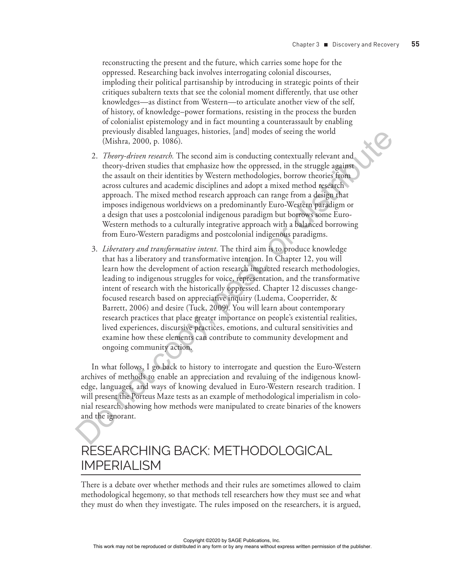reconstructing the present and the future, which carries some hope for the oppressed. Researching back involves interrogating colonial discourses, imploding their political partisanship by introducing in strategic points of their critiques subaltern texts that see the colonial moment differently, that use other knowledges—as distinct from Western—to articulate another view of the self, of history, of knowledge–power formations, resisting in the process the burden of colonialist epistemology and in fact mounting a counterassault by enabling previously disabled languages, histories, [and] modes of seeing the world (Mishra, 2000, p. 1086).

- 2. *Theory-driven research.* The second aim is conducting contextually relevant and theory-driven studies that emphasize how the oppressed, in the struggle against the assault on their identities by Western methodologies, borrow theories from across cultures and academic disciplines and adopt a mixed method research approach. The mixed method research approach can range from a design that imposes indigenous worldviews on a predominantly Euro-Western paradigm or a design that uses a postcolonial indigenous paradigm but borrows some Euro-Western methods to a culturally integrative approach with a balanced borrowing from Euro-Western paradigms and postcolonial indigenous paradigms.
- 3. *Liberatory and transformative intent.* The third aim is to produce knowledge that has a liberatory and transformative intention. In Chapter 12, you will learn how the development of action research impacted research methodologies, leading to indigenous struggles for voice, representation, and the transformative intent of research with the historically oppressed. Chapter 12 discusses changefocused research based on appreciative inquiry (Ludema, Cooperrider, & Barrett, 2006) and desire (Tuck, 2009). You will learn about contemporary research practices that place greater importance on people's existential realities, lived experiences, discursive practices, emotions, and cultural sensitivities and examine how these elements can contribute to community development and ongoing community action. previously stabled tanguages, nistories, jandj modes of seeing the world<br>
2. Theory-driven research. The second aim is conducting contextually relevant and<br>
theory-driven studies that emphasize how the oppressed, in the st

In what follows, I go back to history to interrogate and question the Euro-Western archives of methods to enable an appreciation and revaluing of the indigenous knowledge, languages, and ways of knowing devalued in Euro-Western research tradition. I will present the Porteus Maze tests as an example of methodological imperialism in colonial research, showing how methods were manipulated to create binaries of the knowers and the ignorant.

# RESEARCHING BACK: METHODOLOGICAL IMPERIALISM

There is a debate over whether methods and their rules are sometimes allowed to claim methodological hegemony, so that methods tell researchers how they must see and what they must do when they investigate. The rules imposed on the researchers, it is argued,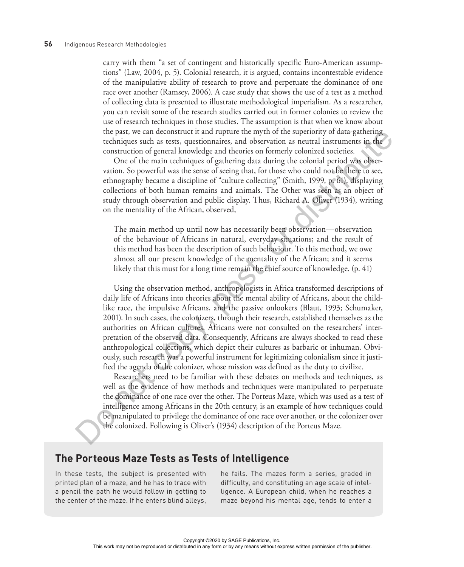carry with them "a set of contingent and historically specific Euro-American assumptions" (Law, 2004, p. 5). Colonial research, it is argued, contains incontestable evidence of the manipulative ability of research to prove and perpetuate the dominance of one race over another (Ramsey, 2006). A case study that shows the use of a test as a method of collecting data is presented to illustrate methodological imperialism. As a researcher, you can revisit some of the research studies carried out in former colonies to review the use of research techniques in those studies. The assumption is that when we know about the past, we can deconstruct it and rupture the myth of the superiority of data-gathering techniques such as tests, questionnaires, and observation as neutral instruments in the construction of general knowledge and theories on formerly colonized societies.

One of the main techniques of gathering data during the colonial period was observation. So powerful was the sense of seeing that, for those who could not be there to see, ethnography became a discipline of "culture collecting" (Smith, 1999, p. 61), displaying collections of both human remains and animals. The Other was seen as an object of study through observation and public display. Thus, Richard A. Oliver (1934), writing on the mentality of the African, observed,

The main method up until now has necessarily been observation—observation of the behaviour of Africans in natural, everyday situations; and the result of this method has been the description of such behaviour. To this method, we owe almost all our present knowledge of the mentality of the African; and it seems likely that this must for a long time remain the chief source of knowledge. (p. 41)

Using the observation method, anthropologists in Africa transformed descriptions of daily life of Africans into theories about the mental ability of Africans, about the childlike race, the impulsive Africans, and the passive onlookers (Blaut, 1993; Schumaker, 2001). In such cases, the colonizers, through their research, established themselves as the authorities on African cultures. Africans were not consulted on the researchers' interpretation of the observed data. Consequently, Africans are always shocked to read these anthropological collections, which depict their cultures as barbaric or inhuman. Obviously, such research was a powerful instrument for legitimizing colonialism since it justified the agenda of the colonizer, whose mission was defined as the duty to civilize. the past, we can deconsistrut at an equitor of the supernority of date-guttering in the past, or distributed and choics on formerly colonized coacities.<br>
One of the main techniques of gathering dat during the colonial peri

Researchers need to be familiar with these debates on methods and techniques, as well as the evidence of how methods and techniques were manipulated to perpetuate the dominance of one race over the other. The Porteus Maze, which was used as a test of intelligence among Africans in the 20th century, is an example of how techniques could be manipulated to privilege the dominance of one race over another, or the colonizer over the colonized. Following is Oliver's (1934) description of the Porteus Maze.

#### **The Porteous Maze Tests as Tests of Intelligence**

In these tests, the subject is presented with printed plan of a maze, and he has to trace with a pencil the path he would follow in getting to the center of the maze. If he enters blind alleys, he fails. The mazes form a series, graded in difficulty, and constituting an age scale of intelligence. A European child, when he reaches a maze beyond his mental age, tends to enter a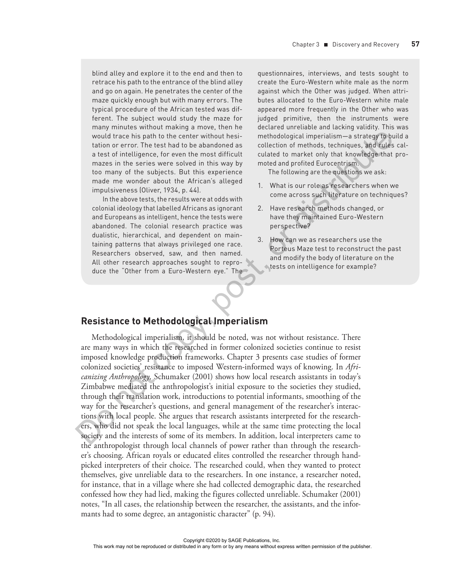blind alley and explore it to the end and then to retrace his path to the entrance of the blind alley and go on again. He penetrates the center of the maze quickly enough but with many errors. The typical procedure of the African tested was different. The subject would study the maze for many minutes without making a move, then he would trace his path to the center without hesitation or error. The test had to be abandoned as a test of intelligence, for even the most difficult mazes in the series were solved in this way by too many of the subjects. But this experience made me wonder about the African's alleged impulsiveness (Oliver, 1934, p. 44).

In the above tests, the results were at odds with colonial ideology that labelled Africans as ignorant and Europeans as intelligent, hence the tests were abandoned. The colonial research practice was dualistic, hierarchical, and dependent on maintaining patterns that always privileged one race. Researchers observed, saw, and then named. All other research approaches sought to reproduce the "Other from a Euro-Western eye." The questionnaires, interviews, and tests sought to create the Euro-Western white male as the norm against which the Other was judged. When attributes allocated to the Euro-Western white male appeared more frequently in the Other who was judged primitive, then the instruments were declared unreliable and lacking validity. This was methodological imperialism—a strategy to build a collection of methods, techniques, and rules calculated to market only that knowledge that promoted and profited Eurocentrism.

The following are the questions we ask:

- 1. What is our role as researchers when we come across such literature on techniques?
- 2. Have research methods changed, or have they maintained Euro-Western perspective?
- 3. How can we as researchers use the Porteus Maze test to reconstruct the past and modify the body of literature on the tests on intelligence for example?

#### **Resistance to Methodological Imperialism**

Methodological imperialism, it should be noted, was not without resistance. There are many ways in which the researched in former colonized societies continue to resist imposed knowledge production frameworks. Chapter 3 presents case studies of former colonized societies' resistance to imposed Western-informed ways of knowing. In *Africanizing Anthropology,* Schumaker (2001) shows how local research assistants in today's Zimbabwe mediated the anthropologist's initial exposure to the societies they studied, through their translation work, introductions to potential informants, smoothing of the way for the researcher's questions, and general management of the researcher's interactions with local people. She argues that research assistants interpreted for the researchers, who did not speak the local languages, while at the same time protecting the local society and the interests of some of its members. In addition, local interpreters came to the anthropologist through local channels of power rather than through the researcher's choosing. African royals or educated elites controlled the researcher through handpicked interpreters of their choice. The researched could, when they wanted to protect themselves, give unreliable data to the researchers. In one instance, a researcher noted, for instance, that in a village where she had collected demographic data, the researched confessed how they had lied, making the figures collected unreliable. Schumaker (2001) notes, "In all cases, the relationship between the researcher, the assistants, and the informants had to some degree, an antagonistic character" (p. 94). would trace his path to the center without hesis. The the<br>baladigrail imperialism—as strategy by build and the content model of the<br>state of the content model of the state of the state of the state of the<br>state of the sta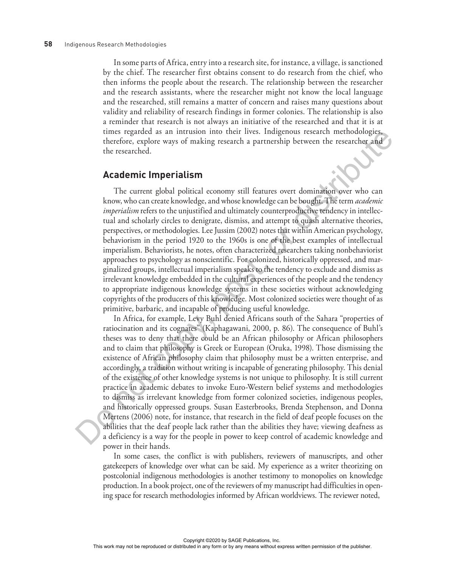In some parts of Africa, entry into a research site, for instance, a village, is sanctioned by the chief. The researcher first obtains consent to do research from the chief, who then informs the people about the research. The relationship between the researcher and the research assistants, where the researcher might not know the local language and the researched, still remains a matter of concern and raises many questions about validity and reliability of research findings in former colonies. The relationship is also a reminder that research is not always an initiative of the researched and that it is at times regarded as an intrusion into their lives. Indigenous research methodologies, therefore, explore ways of making research a partnership between the researcher and the researched.

#### **Academic Imperialism**

The current global political economy still features overt domination over who can know, who can create knowledge, and whose knowledge can be bought. The term *academic imperialism* refers to the unjustified and ultimately counterproductive tendency in intellectual and scholarly circles to denigrate, dismiss, and attempt to quash alternative theories, perspectives, or methodologies. Lee Jussim (2002) notes that within American psychology, behaviorism in the period 1920 to the 1960s is one of the best examples of intellectual imperialism. Behaviorists, he notes, often characterized researchers taking nonbehaviorist approaches to psychology as nonscientific. For colonized, historically oppressed, and marginalized groups, intellectual imperialism speaks to the tendency to exclude and dismiss as irrelevant knowledge embedded in the cultural experiences of the people and the tendency to appropriate indigenous knowledge systems in these societies without acknowledging copyrights of the producers of this knowledge. Most colonized societies were thought of as primitive, barbaric, and incapable of producing useful knowledge.

In Africa, for example, Levy Buhl denied Africans south of the Sahara "properties of ratiocination and its cognates" (Kaphagawani, 2000, p. 86). The consequence of Buhl's theses was to deny that there could be an African philosophy or African philosophers and to claim that philosophy is Greek or European (Oruka, 1998). Those dismissing the existence of African philosophy claim that philosophy must be a written enterprise, and accordingly, a tradition without writing is incapable of generating philosophy. This denial of the existence of other knowledge systems is not unique to philosophy. It is still current practice in academic debates to invoke Euro-Western belief systems and methodologies to dismiss as irrelevant knowledge from former colonized societies, indigenous peoples, and historically oppressed groups. Susan Easterbrooks, Brenda Stephenson, and Donna Mertens (2006) note, for instance, that research in the field of deaf people focuses on the abilities that the deaf people lack rather than the abilities they have; viewing deafness as a deficiency is a way for the people in power to keep control of academic knowledge and power in their hands. times registed as an initision into their lives. Independent of the<br>denoting estable and the researchies and the researchies and the researchies and the researchies<br>denote and the researchies and the researchies and the re

In some cases, the conflict is with publishers, reviewers of manuscripts, and other gatekeepers of knowledge over what can be said. My experience as a writer theorizing on postcolonial indigenous methodologies is another testimony to monopolies on knowledge production. In a book project, one of the reviewers of my manuscript had difficulties in opening space for research methodologies informed by African worldviews. The reviewer noted,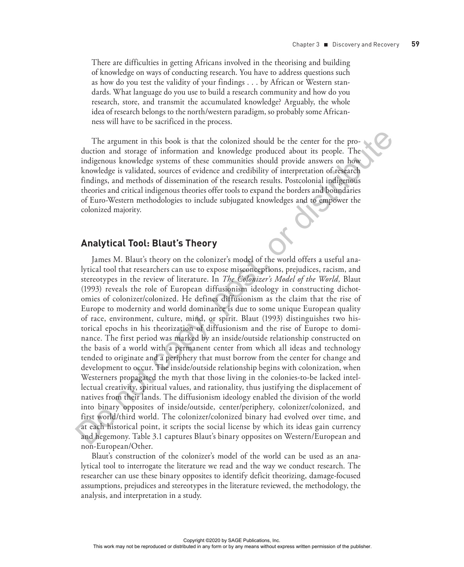There are difficulties in getting Africans involved in the theorising and building of knowledge on ways of conducting research. You have to address questions such as how do you test the validity of your findings . . . by African or Western standards. What language do you use to build a research community and how do you research, store, and transmit the accumulated knowledge? Arguably, the whole idea of research belongs to the north/western paradigm, so probably some Africanness will have to be sacrificed in the process.

The argument in this book is that the colonized should be the center for the production and storage of information and knowledge produced about its people. The indigenous knowledge systems of these communities should provide answers on how knowledge is validated, sources of evidence and credibility of interpretation of research findings, and methods of dissemination of the research results. Postcolonial indigenous theories and critical indigenous theories offer tools to expand the borders and boundaries of Euro-Western methodologies to include subjugated knowledges and to empower the colonized majority.

#### **Analytical Tool: Blaut's Theory**

James M. Blaut's theory on the colonizer's model of the world offers a useful analytical tool that researchers can use to expose misconceptions, prejudices, racism, and stereotypes in the review of literature. In *The Colonizer's Model of the World,* Blaut (1993) reveals the role of European diffusionism ideology in constructing dichotomies of colonizer/colonized. He defines diffusionism as the claim that the rise of Europe to modernity and world dominance is due to some unique European quality of race, environment, culture, mind, or spirit. Blaut (1993) distinguishes two historical epochs in his theorization of diffusionism and the rise of Europe to dominance. The first period was marked by an inside/outside relationship constructed on the basis of a world with a permanent center from which all ideas and technology tended to originate and a periphery that must borrow from the center for change and development to occur. The inside/outside relationship begins with colonization, when Westerners propagated the myth that those living in the colonies-to-be lacked intellectual creativity, spiritual values, and rationality, thus justifying the displacement of natives from their lands. The diffusionism ideology enabled the division of the world into binary opposites of inside/outside, center/periphery, colonizer/colonized, and first world/third world. The colonizer/colonized binary had evolved over time, and at each historical point, it scripts the social license by which its ideas gain currency and hegemony. Table 3.1 captures Blaut's binary opposites on Western/European and non-European/Other. The argument in this book is that the colonized should be the center for the production and store communities should provide anote it is poople. The differential sources of evidence and credibility of interpretainon of co

Blaut's construction of the colonizer's model of the world can be used as an analytical tool to interrogate the literature we read and the way we conduct research. The researcher can use these binary opposites to identify deficit theorizing, damage-focused assumptions, prejudices and stereotypes in the literature reviewed, the methodology, the analysis, and interpretation in a study.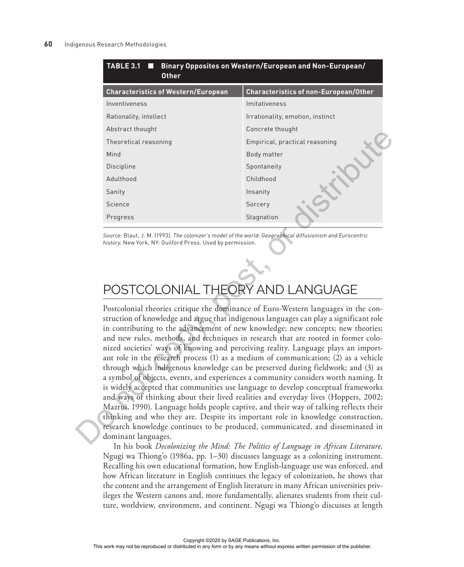| <b>TABLE 3.1</b><br><b>Other</b>           | Binary Opposites on Western/European and Non-European/ |
|--------------------------------------------|--------------------------------------------------------|
| <b>Characteristics of Western/European</b> | <b>Characteristics of non-European/Other</b>           |
| Inventiveness                              | Imitativeness                                          |
| Rationality, intellect                     | Irrationality, emotion, instinct                       |
| Abstract thought                           | Concrete thought                                       |
| Theoretical reasoning                      | Empirical, practical reasoning                         |
| Mind                                       | Body matter                                            |
| Discipline                                 | Spontaneity                                            |
| Adulthood                                  | Childhood                                              |
| Sanity                                     | Insanity                                               |
| Science                                    | Sorcery                                                |
| Progress                                   | Stagnation                                             |
|                                            |                                                        |

*Source:* Blaut, J. M. (1993). *The colonizer's model of the world: Geographical diffusionism and Eurocentric history*. New York, NY: Guilford Press. Used by permission.

# POSTCOLONIAL THEORY AND LANGUAGE

Postcolonial theories critique the dominance of Euro-Western languages in the construction of knowledge and argue that indigenous languages can play a significant role in contributing to the advancement of new knowledge; new concepts; new theories; and new rules, methods, and techniques in research that are rooted in former colonized societies' ways of knowing and perceiving reality. Language plays an important role in the research process (1) as a medium of communication; (2) as a vehicle through which indigenous knowledge can be preserved during fieldwork; and (3) as a symbol of objects, events, and experiences a community considers worth naming. It is widely accepted that communities use language to develop conceptual frameworks and ways of thinking about their lived realities and everyday lives (Hoppers, 2002; Mazrui, 1990). Language holds people captive, and their way of talking reflects their thinking and who they are. Despite its important role in knowledge construction, research knowledge continues to be produced, communicated, and disseminated in dominant languages. Distribute of the scheme of the scheme of the scheme of the scheme of the scheme of the scheme of the scheme of the scheme of the scheme of the scheme of the scheme of the scheme of the scheme of the scheme of the scheme o

In his book *Decolonizing the Mind: The Politics of Language in African Literature,* Ngugi wa Thiong'o (1986a, pp. 1–30) discusses language as a colonizing instrument. Recalling his own educational formation, how English-language use was enforced, and how African literature in English continues the legacy of colonization, he shows that the content and the arrangement of English literature in many African universities privileges the Western canons and, more fundamentally, alienates students from their culture, worldview, environment, and continent. Ngugi wa Thiong'o discusses at length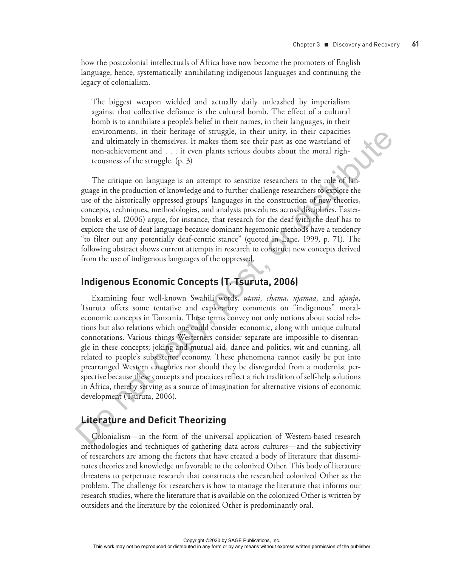how the postcolonial intellectuals of Africa have now become the promoters of English language, hence, systematically annihilating indigenous languages and continuing the legacy of colonialism.

The biggest weapon wielded and actually daily unleashed by imperialism against that collective defiance is the cultural bomb. The effect of a cultural bomb is to annihilate a people's belief in their names, in their languages, in their environments, in their heritage of struggle, in their unity, in their capacities and ultimately in themselves. It makes them see their past as one wasteland of non-achievement and . . . it even plants serious doubts about the moral righteousness of the struggle. (p. 3)

The critique on language is an attempt to sensitize researchers to the role of language in the production of knowledge and to further challenge researchers to explore the use of the historically oppressed groups' languages in the construction of new theories, concepts, techniques, methodologies, and analysis procedures across disciplines. Easterbrooks et al. (2006) argue, for instance, that research for the deaf with the deaf has to explore the use of deaf language because dominant hegemonic methods have a tendency "to filter out any potentially deaf-centric stance" (quoted in Lane, 1999, p. 71). The following abstract shows current attempts in research to construct new concepts derived from the use of indigenous languages of the oppressed.

#### **Indigenous Economic Concepts (T. Tsuruta, 2006)**

Examining four well-known Swahili words, *utani, chama, ujamaa,* and *ujanja,* Tsuruta offers some tentative and exploratory comments on "indigenous" moraleconomic concepts in Tanzania. These terms convey not only notions about social relations but also relations which one could consider economic, along with unique cultural connotations. Various things Westerners consider separate are impossible to disentangle in these concepts; joking and mutual aid, dance and politics, wit and cunning, all related to people's subsistence economy. These phenomena cannot easily be put into prearranged Western categories nor should they be disregarded from a modernist perspective because these concepts and practices reflect a rich tradition of self-help solutions in Africa, thereby serving as a source of imagination for alternative visions of economic development (Tsuruta, 2006). environments, in their heritage of struggle, in their distribution<br>and ultimately in themselves. It makes them see their past as one wasteland of<br>non-calcivenent and ... it even plans serious doubts about the moral righ-<br>

#### **Literature and Deficit Theorizing**

Colonialism—in the form of the universal application of Western-based research methodologies and techniques of gathering data across cultures—and the subjectivity of researchers are among the factors that have created a body of literature that disseminates theories and knowledge unfavorable to the colonized Other. This body of literature threatens to perpetuate research that constructs the researched colonized Other as the problem. The challenge for researchers is how to manage the literature that informs our research studies, where the literature that is available on the colonized Other is written by outsiders and the literature by the colonized Other is predominantly oral.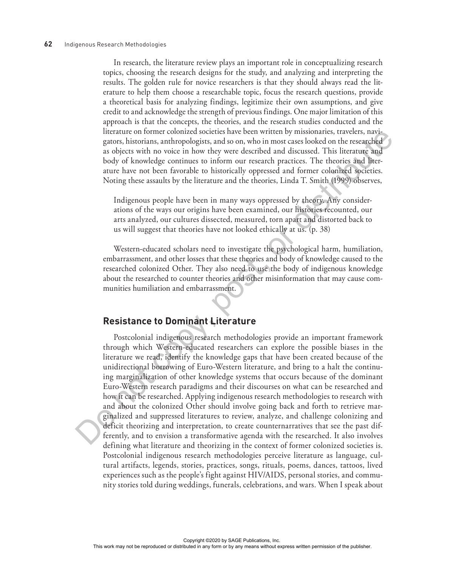In research, the literature review plays an important role in conceptualizing research topics, choosing the research designs for the study, and analyzing and interpreting the results. The golden rule for novice researchers is that they should always read the literature to help them choose a researchable topic, focus the research questions, provide a theoretical basis for analyzing findings, legitimize their own assumptions, and give credit to and acknowledge the strength of previous findings. One major limitation of this approach is that the concepts, the theories, and the research studies conducted and the literature on former colonized societies have been written by missionaries, travelers, navigators, historians, anthropologists, and so on, who in most cases looked on the researched as objects with no voice in how they were described and discussed. This literature and body of knowledge continues to inform our research practices. The theories and literature have not been favorable to historically oppressed and former colonized societies. Noting these assaults by the literature and the theories, Linda T. Smith (1999) observes,

Indigenous people have been in many ways oppressed by theory. Any considerations of the ways our origins have been examined, our histories recounted, our arts analyzed, our cultures dissected, measured, torn apart and distorted back to us will suggest that theories have not looked ethically at us. (p. 38)

Western-educated scholars need to investigate the psychological harm, humiliation, embarrassment, and other losses that these theories and body of knowledge caused to the researched colonized Other. They also need to use the body of indigenous knowledge about the researched to counter theories and other misinformation that may cause communities humiliation and embarrassment.

#### **Resistance to Dominant Literature**

Postcolonial indigenous research methodologies provide an important framework through which Western-educated researchers can explore the possible biases in the literature we read, identify the knowledge gaps that have been created because of the unidirectional borrowing of Euro-Western literature, and bring to a halt the continuing marginalization of other knowledge systems that occurs because of the dominant Euro-Western research paradigms and their discourses on what can be researched and how it can be researched. Applying indigenous research methodologies to research with and about the colonized Other should involve going back and forth to retrieve marginalized and suppressed literatures to review, analyze, and challenge colonizing and deficit theorizing and interpretation, to create counternarratives that see the past differently, and to envision a transformative agenda with the researched. It also involves defining what literature and theorizing in the context of former colonized societies is. Postcolonial indigenous research methodologies perceive literature as language, cultural artifacts, legends, stories, practices, songs, rituals, poems, dances, tattoos, lived experiences such as the people's fight against HIV/AIDS, personal stories, and community stories told during weddings, funerals, celebrations, and wars. When I speak about Iterative on tormer colonized societies have been written by missionaries, traveless, naw<br>
gators, bistorians, anthropologists, and so on, who in most cases looked on the researched<br>
as objects with no voice in how they w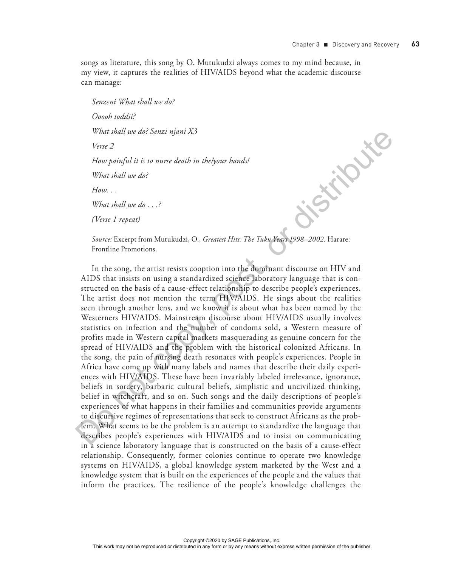songs as literature, this song by O. Mutukudzi always comes to my mind because, in my view, it captures the realities of HIV/AIDS beyond what the academic discourse can manage:

*Senzeni What shall we do? Ooooh toddii? What shall we do? Senzi njani X3 Verse 2 How painful it is to nurse death in the/your hands! What shall we do? How. . . What shall we do . . .? (Verse 1 repeat)*

*Source:* Excerpt from Mutukudzi, O., *Greatest Hits: The Tuku Years 1998–2002.* Harare: Frontline Promotions.

In the song, the artist resists cooption into the dominant discourse on HIV and AIDS that insists on using a standardized science laboratory language that is constructed on the basis of a cause-effect relationship to describe people's experiences. The artist does not mention the term HIV/AIDS. He sings about the realities seen through another lens, and we know it is about what has been named by the Westerners HIV/AIDS. Mainstream discourse about HIV/AIDS usually involves statistics on infection and the number of condoms sold, a Western measure of profits made in Western capital markets masquerading as genuine concern for the spread of HIV/AIDS and the problem with the historical colonized Africans. In the song, the pain of nursing death resonates with people's experiences. People in Africa have come up with many labels and names that describe their daily experiences with HIV/AIDS. These have been invariably labeled irrelevance, ignorance, beliefs in sorcery, barbaric cultural beliefs, simplistic and uncivilized thinking, belief in witchcraft, and so on. Such songs and the daily descriptions of people's experiences of what happens in their families and communities provide arguments to discursive regimes of representations that seek to construct Africans as the problem. What seems to be the problem is an attempt to standardize the language that describes people's experiences with HIV/AIDS and to insist on communicating in a science laboratory language that is constructed on the basis of a cause-effect relationship. Consequently, former colonies continue to operate two knowledge systems on HIV/AIDS, a global knowledge system marketed by the West and a knowledge system that is built on the experiences of the people and the values that inform the practices. The resilience of the people's knowledge challenges the What shall we do' Senzi njani A3<br>
Verse 2 and the dot Senzi njani A3<br>
Verse 2 and the dociment of the proper bands!<br>
The proper Executive dociment of the shall we does<br>
How a shall we does<br>
How a shall we does<br>
Chere I re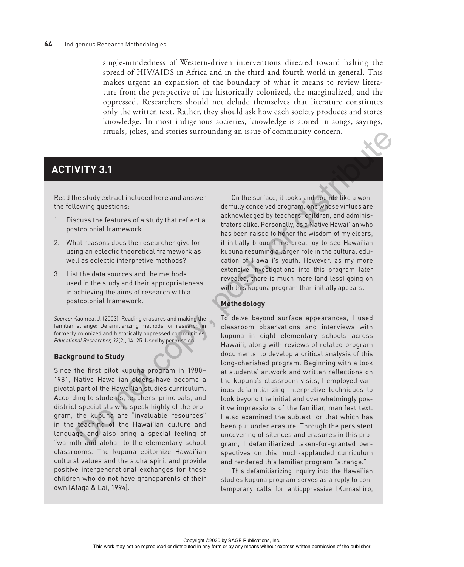single-mindedness of Western-driven interventions directed toward halting the spread of HIV/AIDS in Africa and in the third and fourth world in general. This makes urgent an expansion of the boundary of what it means to review literature from the perspective of the historically colonized, the marginalized, and the oppressed. Researchers should not delude themselves that literature constitutes only the written text. Rather, they should ask how each society produces and stores knowledge. In most indigenous societies, knowledge is stored in songs, sayings, rituals, jokes, and stories surrounding an issue of community concern.

#### **ACTIVITY 3.1**

Read the study extract included here and answer the following questions:

- 1. Discuss the features of a study that reflect a postcolonial framework.
- 2. What reasons does the researcher give for using an eclectic theoretical framework as well as eclectic interpretive methods?
- 3. List the data sources and the methods used in the study and their appropriateness in achieving the aims of research with a postcolonial framework.

*Source:* Kaomea, J. (2003). Reading erasures and making the familiar strange: Defamiliarizing methods for research in formerly colonized and historically oppressed communities. *Educational Researcher, 32*(2), 14–25. Used by permission.

#### **Background to Study**

Since the first pilot kupuna program in 1980– 1981, Native Hawai'ian elders have become a pivotal part of the Hawai'ian studies curriculum. According to students, teachers, principals, and district specialists who speak highly of the program, the kupuna are "invaluable resources" in the teaching of the Hawai'ian culture and language and also bring a special feeling of "warmth and aloha" to the elementary school classrooms. The kupuna epitomize Hawai'ian cultural values and the aloha spirit and provide positive intergenerational exchanges for those children who do not have grandparents of their own (Afaga & Lai, 1994).

On the surface, it looks and sounds like a wonderfully conceived program, one whose virtues are acknowledged by teachers, children, and administrators alike. Personally, as a Native Hawai'ian who has been raised to honor the wisdom of my elders, it initially brought me great joy to see Hawai'ian kupuna resuming a larger role in the cultural education of Hawai'i's youth. However, as my more extensive investigations into this program later revealed, there is much more (and less) going on with this kupuna program than initially appears.

#### **Methodology**

To delve beyond surface appearances, I used classroom observations and interviews with kupuna in eight elementary schools across Hawai'i, along with reviews of related program documents, to develop a critical analysis of this long-cherished program. Beginning with a look at students' artwork and written reflections on the kupuna's classroom visits, I employed various defamiliarizing interpretive techniques to look beyond the initial and overwhelmingly positive impressions of the familiar, manifest text. I also examined the subtext, or that which has been put under erasure. Through the persistent uncovering of silences and erasures in this program, I defamiliarized taken-for-granted perspectives on this much-applauded curriculum and rendered this familiar program "strange." Trituals, jokes, and stories surrounding an issue of community concern.<br>
The study extract included here and answer<br>
on the surface, it looks and sounds like a won-<br>
cocus the features of a study that reflect a<br>
acknowledg

> This defamiliarizing inquiry into the Hawai'ian studies kupuna program serves as a reply to contemporary calls for antioppressive (Kumashiro,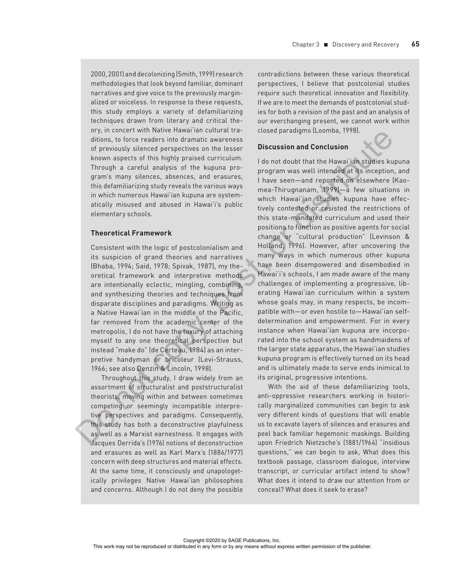2000, 2001) and decolonizing (Smith, 1999) research methodologies that look beyond familiar, dominant narratives and give voice to the previously marginalized or voiceless. In response to these requests, this study employs a variety of defamiliarizing techniques drawn from literary and critical theory, in concert with Native Hawai'ian cultural traditions, to force readers into dramatic awareness of previously silenced perspectives on the lesser known aspects of this highly praised curriculum. Through a careful analysis of the kupuna program's many silences, absences, and erasures, this defamiliarizing study reveals the various ways in which numerous Hawai'ian kupuna are systematically misused and abused in Hawai'i's public elementary schools.

#### **Theoretical Framework**

Consistent with the logic of postcolonialism and its suspicion of grand theories and narratives (Bhaba, 1994; Said, 1978; Spivak, 1987), my theoretical framework and interpretive methods are intentionally eclectic, mingling, combining, and synthesizing theories and techniques from disparate disciplines and paradigms. Writing as a Native Hawai'ian in the middle of the Pacific, far removed from the academic center of the metropolis, I do not have the luxury of attaching myself to any one theoretical perspective but instead "make do" (de Certeau, 1984) as an interpretive handyman or bricoleur (Levi-Strauss, 1966; see also Denzin & Lincoln, 1998).

Throughout this study, I draw widely from an assortment of structuralist and poststructuralist theorists, moving within and between sometimes competing or seemingly incompatible interpretive perspectives and paradigms. Consequently, this study has both a deconstructive playfulness as well as a Marxist earnestness. It engages with Jacques Derrida's (1976) notions of deconstruction and erasures as well as Karl Marx's (1886/1977) concern with deep structures and material effects. At the same time, it consciously and unapologetically privileges Native Hawai'ian philosophies and concerns. Although I do not deny the possible

contradictions between these various theoretical perspectives, I believe that postcolonial studies require such theoretical innovation and flexibility. If we are to meet the demands of postcolonial studies for both a revision of the past and an analysis of our everchanging present, we cannot work within closed paradigms (Loomba, 1998).

#### **Discussion and Conclusion**

I do not doubt that the Hawai'ian studies kupuna program was well intended at its inception, and I have seen—and reported on elsewhere (Kaomea-Thirugnanam, 1999)—a few situations in which Hawai'ian studies kupuna have effectively contested or resisted the restrictions of this state-mandated curriculum and used their positions to function as positive agents for social change or "cultural production" (Levinson & Holland, 1996). However, after uncovering the many ways in which numerous other kupuna have been disempowered and disembodied in Hawai'i's schools, I am made aware of the many challenges of implementing a progressive, liberating Hawai'ian curriculum within a system whose goals may, in many respects, be incompatible with—or even hostile to—Hawai'ian selfdetermination and empowerment. For in every instance when Hawai'ian kupuna are incorporated into the school system as handmaidens of the larger state apparatus, the Hawai'ian studies kupuna program is effectively turned on its head and is ultimately made to serve ends inimical to its original, progressive intentions. of this increase the stationary in the same increase the stationary of the same increase of previously slienced per spectra increase of propositions, to force weaders infor the team of Contability a Christophon a contabili

With the aid of these defamiliarizing tools, anti-oppressive researchers working in historically marginalized communities can begin to ask very different kinds of questions that will enable us to excavate layers of silences and erasures and peel back familiar hegemonic maskings. Building upon Friedrich Nietzsche's (1881/1964) "insidious questions," we can begin to ask, What does this textbook passage, classroom dialogue, interview transcript, or curricular artifact intend to show? What does it intend to draw our attention from or conceal? What does it seek to erase?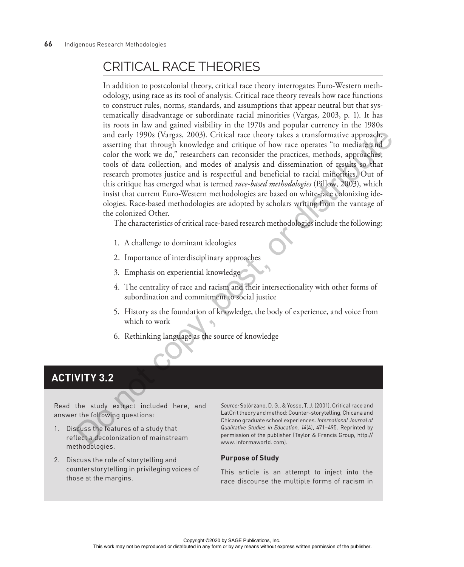# CRITICAL RACE THEORIES

In addition to postcolonial theory, critical race theory interrogates Euro-Western methodology, using race as its tool of analysis. Critical race theory reveals how race functions to construct rules, norms, standards, and assumptions that appear neutral but that systematically disadvantage or subordinate racial minorities (Vargas, 2003, p. 1). It has its roots in law and gained visibility in the 1970s and popular currency in the 1980s and early 1990s (Vargas, 2003). Critical race theory takes a transformative approach, asserting that through knowledge and critique of how race operates "to mediate and color the work we do," researchers can reconsider the practices, methods, approaches, tools of data collection, and modes of analysis and dissemination of results so that research promotes justice and is respectful and beneficial to racial minorities. Out of this critique has emerged what is termed *race-based methodologies* (Pillow, 2003), which insist that current Euro-Western methodologies are based on white-race colonizing ideologies. Race-based methodologies are adopted by scholars writing from the vantage of the colonized Other. and exity 1990s (Vargas, 2003). Critical rate theory takes a transformative approach;<br>asserting that through knowledge and critique of how race operates "to mediate and<br>color the work we do," researchers can reconsider the

The characteristics of critical race-based research methodologies include the following:

- 1. A challenge to dominant ideologies
- 2. Importance of interdisciplinary approaches
- 3. Emphasis on experiential knowledge
- 4. The centrality of race and racism and their intersectionality with other forms of subordination and commitment to social justice
- 5. History as the foundation of knowledge, the body of experience, and voice from which to work
- 6. Rethinking language as the source of knowledge

#### **ACTIVITY 3.2**

Read the study extract included here, and answer the following questions:

- 1. Discuss the features of a study that reflect a decolonization of mainstream methodologies.
- 2. Discuss the role of storytelling and counterstorytelling in privileging voices of those at the margins.

*Source:* Solórzano, D. G., & Yosso, T. J. (2001). Critical race and LatCrit theory and method: Counter-storytelling, Chicana and Chicano graduate school experiences. *International Journal of Qualitative Studies in Education, 14*(4), 471–495. Reprinted by permission of the publisher (Taylor & Francis Group, http:// www. informaworld. com).

#### **Purpose of Study**

This article is an attempt to inject into the race discourse the multiple forms of racism in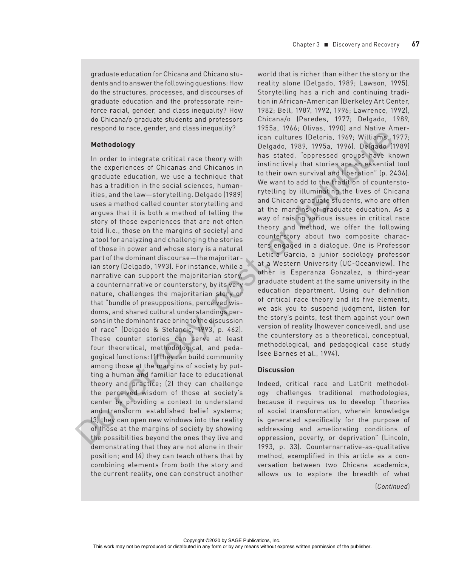graduate education for Chicana and Chicano students and to answer the following questions: How do the structures, processes, and discourses of graduate education and the professorate reinforce racial, gender, and class inequality? How do Chicana/o graduate students and professors respond to race, gender, and class inequality?

#### **Methodology**

In order to integrate critical race theory with the experiences of Chicanas and Chicanos in graduate education, we use a technique that has a tradition in the social sciences, humanities, and the law—storytelling. Delgado (1989) uses a method called counter storytelling and argues that it is both a method of telling the story of those experiences that are not often told (i.e., those on the margins of society) and a tool for analyzing and challenging the stories of those in power and whose story is a natural part of the dominant discourse—the majoritarian story (Delgado, 1993). For instance, while a narrative can support the majoritarian story, a counternarrative or counterstory, by its very nature, challenges the majoritarian story or that "bundle of presuppositions, perceived wisdoms, and shared cultural understandings persons in the dominant race bring to the discussion of race" (Delgado & Stefancic, 1993, p. 462). These counter stories can serve at least four theoretical, methodological, and pedagogical functions: (1) they can build community among those at the margins of society by putting a human and familiar face to educational theory and practice; (2) they can challenge the perceived wisdom of those at society's center by providing a context to understand and transform established belief systems; (3) they can open new windows into the reality of those at the margins of society by showing the possibilities beyond the ones they live and demonstrating that they are not alone in their position; and (4) they can teach others that by combining elements from both the story and the current reality, one can construct another **Methodology**<br>
Methodology<br>
In order to integrate critical race theory with has stated, 1998; 1998; 1998; 1998; 1998; 1998; 1998; 1998; 1998; 1998; 1998; 1998; 1998; 1998; 1998; 1998; 1998; 1998; 1998; 1998; 1998; 1998; 1

world that is richer than either the story or the reality alone (Delgado, 1989; Lawson, 1995). Storytelling has a rich and continuing tradition in African-American (Berkeley Art Center, 1982; Bell, 1987, 1992, 1996; Lawrence, 1992), Chicana/o (Paredes, 1977; Delgado, 1989, 1955a, 1966; Olivas, 1990) and Native American cultures (Deloria, 1969; Williams, 1977; Delgado, 1989, 1995a, 1996). Delgado (1989) has stated, "oppressed groups have known instinctively that stories are an essential tool to their own survival and liberation" (p. 2436). We want to add to the tradition of counterstorytelling by illuminating the lives of Chicana and Chicano graduate students, who are often at the margins of graduate education. As a way of raising various issues in critical race theory and method, we offer the following counterstory about two composite characters engaged in a dialogue. One is Professor Leticia Garcia, a junior sociology professor at a Western University (UC-Oceanview). The other is Esperanza Gonzalez, a third-year graduate student at the same university in the education department. Using our definition of critical race theory and its five elements, we ask you to suspend judgment, listen for the story's points, test them against your own version of reality (however conceived), and use the counterstory as a theoretical, conceptual, methodological, and pedagogical case study (see Barnes et al., 1994).

#### **Discussion**

Indeed, critical race and LatCrit methodology challenges traditional methodologies, because it requires us to develop "theories of social transformation, wherein knowledge is generated specifically for the purpose of addressing and ameliorating conditions of oppression, poverty, or deprivation" (Lincoln, 1993, p. 33). Counternarrative-as-qualitative method, exemplified in this article as a conversation between two Chicana academics, allows us to explore the breadth of what

(*Continued*)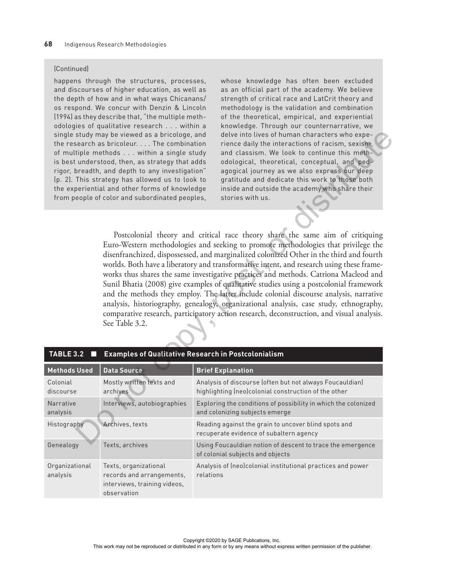#### (Continued)

happens through the structures, processes, and discourses of higher education, as well as the depth of how and in what ways Chicanans/ os respond. We concur with Denzin & Lincoln (1994) as they describe that, "the multiple methodologies of qualitative research . . . within a single study may be viewed as a bricologe, and the research as bricoleur. . . . The combination of multiple methods . . . within a single study is best understood, then, as strategy that adds rigor, breadth, and depth to any investigation" (p. 2). This strategy has allowed us to look to the experiential and other forms of knowledge from people of color and subordinated peoples,

whose knowledge has often been excluded as an official part of the academy. We believe strength of critical race and LatCrit theory and methodology is the validation and combination of the theoretical, empirical, and experiential knowledge. Through our counternarrative, we delve into lives of human characters who experience daily the interactions of racism, sexism, and classism. We look to continue this methodological, theoretical, conceptual, and pedagogical journey as we also express our deep gratitude and dedicate this work to those both inside and outside the academy who share their stories with us.

| single study may be viewed as a bricologe, and<br>the research as bricoleur. The combination<br>of multiple methods within a single study<br>is best understood, then, as strategy that adds<br>rigor, breadth, and depth to any investigation"<br>(p. 2). This strategy has allowed us to look to<br>the experiential and other forms of knowledge<br>from people of color and subordinated peoples,                                                                                                                                                                                                                                                                                                                                                                                                                                                                                                                                    |                                      | delve into lives of human characters who expe-<br>rience daily the interactions of racism, sexism,<br>and classism. We look to continue this meth-<br>odological, theoretical, conceptual, and ped-<br>agogical journey as we also express our deep<br>gratitude and dedicate this work to those both<br>inside and outside the academy who share their<br>stories with us. |  |
|------------------------------------------------------------------------------------------------------------------------------------------------------------------------------------------------------------------------------------------------------------------------------------------------------------------------------------------------------------------------------------------------------------------------------------------------------------------------------------------------------------------------------------------------------------------------------------------------------------------------------------------------------------------------------------------------------------------------------------------------------------------------------------------------------------------------------------------------------------------------------------------------------------------------------------------|--------------------------------------|-----------------------------------------------------------------------------------------------------------------------------------------------------------------------------------------------------------------------------------------------------------------------------------------------------------------------------------------------------------------------------|--|
| Postcolonial theory and critical race theory share the same aim of critiquing<br>Euro-Western methodologies and seeking to promote methodologies that privilege the<br>disenfranchized, dispossessed, and marginalized colonized Other in the third and fourth<br>worlds. Both have a liberatory and transformative intent, and research using these frame-<br>works thus shares the same investigative practices and methods. Catriona Macleod and<br>Sunil Bhatia (2008) give examples of qualitative studies using a postcolonial framework<br>and the methods they employ. The latter include colonial discourse analysis, narrative<br>analysis, historiography, genealogy, organizational analysis, case study, ethnography,<br>comparative research, participatory action research, deconstruction, and visual analysis.<br>See Table 3.2.<br><b>TABLE 3.2</b><br><b>Examples of Qualitative Research in Postcolonialism</b><br>П |                                      |                                                                                                                                                                                                                                                                                                                                                                             |  |
| <b>Methods Used</b>                                                                                                                                                                                                                                                                                                                                                                                                                                                                                                                                                                                                                                                                                                                                                                                                                                                                                                                      | <b>Data Source</b>                   | <b>Brief Explanation</b>                                                                                                                                                                                                                                                                                                                                                    |  |
| Colonial<br>discourse                                                                                                                                                                                                                                                                                                                                                                                                                                                                                                                                                                                                                                                                                                                                                                                                                                                                                                                    | Mostly written texts and<br>archives | Analysis of discourse (often but not always Foucauldian)<br>highlighting (neo)colonial construction of the other                                                                                                                                                                                                                                                            |  |
| Narrative<br>analysis                                                                                                                                                                                                                                                                                                                                                                                                                                                                                                                                                                                                                                                                                                                                                                                                                                                                                                                    | Interviews, autobiographies          | Exploring the conditions of possibility in which the colonized<br>and colonizing subjects emerge                                                                                                                                                                                                                                                                            |  |
| Histography                                                                                                                                                                                                                                                                                                                                                                                                                                                                                                                                                                                                                                                                                                                                                                                                                                                                                                                              | Archives, texts                      | Reading against the grain to uncover blind spots and<br>recuperate evidence of subaltern agency                                                                                                                                                                                                                                                                             |  |
| Genealogy                                                                                                                                                                                                                                                                                                                                                                                                                                                                                                                                                                                                                                                                                                                                                                                                                                                                                                                                | Texts, archives                      | Using Foucauldian notion of descent to trace the emergence<br>of colonial subjects and objects                                                                                                                                                                                                                                                                              |  |
| Organizational<br>analysis                                                                                                                                                                                                                                                                                                                                                                                                                                                                                                                                                                                                                                                                                                                                                                                                                                                                                                               | Texts, organizational                | Analysis of (neo)colonial institutional practices and power                                                                                                                                                                                                                                                                                                                 |  |

#### **TABLE 3.2** ■ **Examples of Qualitative Research in Postcolonialism**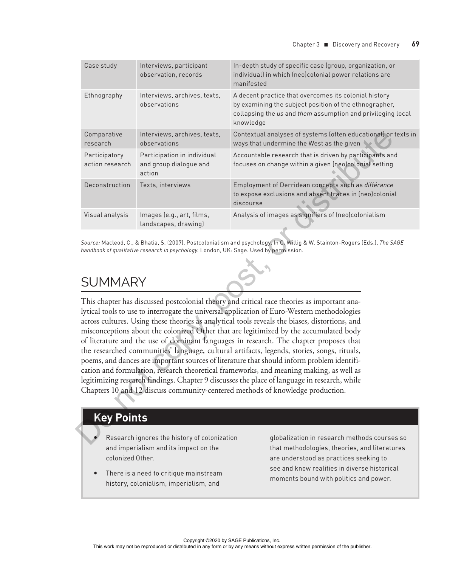| Case study                                                                                                                                                                                                                                                                                                                                                                                                                                                                                                                                                                                                                                                                                                                                                                                                                                                                                                                                                                                       | Interviews, participant<br>observation, records                 | In-depth study of specific case (group, organization, or<br>individual) in which (neo)colonial power relations are<br>manifested                                                            |  |
|--------------------------------------------------------------------------------------------------------------------------------------------------------------------------------------------------------------------------------------------------------------------------------------------------------------------------------------------------------------------------------------------------------------------------------------------------------------------------------------------------------------------------------------------------------------------------------------------------------------------------------------------------------------------------------------------------------------------------------------------------------------------------------------------------------------------------------------------------------------------------------------------------------------------------------------------------------------------------------------------------|-----------------------------------------------------------------|---------------------------------------------------------------------------------------------------------------------------------------------------------------------------------------------|--|
| Ethnography                                                                                                                                                                                                                                                                                                                                                                                                                                                                                                                                                                                                                                                                                                                                                                                                                                                                                                                                                                                      | Interviews, archives, texts,<br>observations                    | A decent practice that overcomes its colonial history<br>by examining the subject position of the ethnographer,<br>collapsing the us and them assumption and privileging local<br>knowledge |  |
| Comparative<br>research                                                                                                                                                                                                                                                                                                                                                                                                                                                                                                                                                                                                                                                                                                                                                                                                                                                                                                                                                                          | Interviews, archives, texts,<br>observations                    | Contextual analyses of systems (often educational) or texts in<br>ways that undermine the West as the given                                                                                 |  |
| Participatory<br>action research                                                                                                                                                                                                                                                                                                                                                                                                                                                                                                                                                                                                                                                                                                                                                                                                                                                                                                                                                                 | Participation in individual<br>and group dialogue and<br>action | Accountable research that is driven by participants and<br>focuses on change within a given (neo)colonial setting                                                                           |  |
| Deconstruction                                                                                                                                                                                                                                                                                                                                                                                                                                                                                                                                                                                                                                                                                                                                                                                                                                                                                                                                                                                   | Texts, interviews                                               | Employment of Derridean concepts such as différance<br>to expose exclusions and absent traces in (neo)colonial<br>discourse                                                                 |  |
| Visual analysis                                                                                                                                                                                                                                                                                                                                                                                                                                                                                                                                                                                                                                                                                                                                                                                                                                                                                                                                                                                  | Images (e.g., art, films,<br>landscapes, drawing)               | Analysis of images as signifiers of (neo)colonialism                                                                                                                                        |  |
| <b>SUMMARY</b><br>This chapter has discussed postcolonial theory and critical race theories as important ana-<br>lytical tools to use to interrogate the universal application of Euro-Western methodologies<br>across cultures. Using these theories as analytical tools reveals the biases, distortions, and<br>misconceptions about the colonized Other that are legitimized by the accumulated body<br>of literature and the use of dominant languages in research. The chapter proposes that<br>the researched communities' language, cultural artifacts, legends, stories, songs, rituals,<br>poems, and dances are important sources of literature that should inform problem identifi-<br>cation and formulation, research theoretical frameworks, and meaning making, as well as<br>legitimizing research findings. Chapter 9 discusses the place of language in research, while<br>Chapters 10 and 12 discuss community-centered methods of knowledge production.<br><b>Key Points</b> |                                                                 |                                                                                                                                                                                             |  |
|                                                                                                                                                                                                                                                                                                                                                                                                                                                                                                                                                                                                                                                                                                                                                                                                                                                                                                                                                                                                  | Research ignores the history of colonization                    | globalization in research methods courses so                                                                                                                                                |  |
|                                                                                                                                                                                                                                                                                                                                                                                                                                                                                                                                                                                                                                                                                                                                                                                                                                                                                                                                                                                                  |                                                                 |                                                                                                                                                                                             |  |

# **SUMMARY**

#### **Key Points**

 Research ignores the history of colonization and imperialism and its impact on the colonized Other.

 There is a need to critique mainstream history, colonialism, imperialism, and

globalization in research methods courses so that methodologies, theories, and literatures are understood as practices seeking to see and know realities in diverse historical moments bound with politics and power.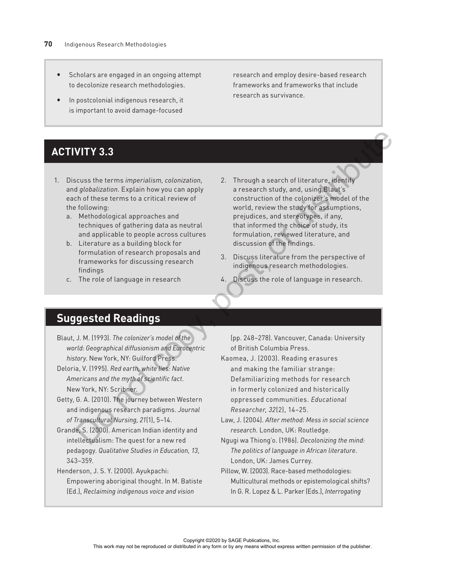- Scholars are engaged in an ongoing attempt to decolonize research methodologies.
- In postcolonial indigenous research, it is important to avoid damage-focused

research and employ desire-based research frameworks and frameworks that include research as survivance.

# **ACTIVITY 3.3**

- 1. Discuss the terms *imperialism, colonization,* and *globalization.* Explain how you can apply each of these terms to a critical review of the following:
	- a. Methodological approaches and techniques of gathering data as neutral and applicable to people across cultures
	- b. Literature as a building block for formulation of research proposals and frameworks for discussing research findings
	- c. The role of language in research
- 2. Through a search of literature, identify a research study, and, using Blaut's construction of the colonizer's model of the world, review the study for assumptions, prejudices, and stereotypes, if any, that informed the choice of study, its formulation, reviewed literature, and discussion of the findings. **VITY 3.3**<br>
Ecuses the terms *imperialism, colonization*,<br>
2. Through a search of therature, identify<br>
a distribution is consistent to the colonization of the colonization<br>
of the signalization consists and the computation
	- 3. Discuss literature from the perspective of indigenous research methodologies.
	- 4. Discuss the role of language in research.

#### **Suggested Readings**

- Blaut, J. M. (1993). *The colonizer's model of the world: Geographical diffusionism and Eurocentric history*. New York, NY: Guilford Press.
- Deloria, V. (1995). *Red earth, white lies: Native Americans and the myth of scientific fact*. New York, NY: Scribner.
- Getty, G. A. (2010). The journey between Western and indigenous research paradigms. *Journal of Transcultural Nursing, 21*(1), 5–14.
- Grande, S. (2000). American Indian identity and intellectualism: The quest for a new red pedagogy. *Qualitative Studies in Education, 13*, 343–359.
- Henderson, J. S. Y. (2000). Ayukpachi: Empowering aboriginal thought. In M. Batiste (Ed.), *Reclaiming indigenous voice and vision*

(pp. 248–278). Vancouver, Canada: University of British Columbia Press.

- Kaomea, J. (2003). Reading erasures and making the familiar strange: Defamiliarizing methods for research in formerly colonized and historically oppressed communities. *Educational Researcher, 32*(2), 14–25.
- Law, J. (2004). *After method: Mess in social science research*. London, UK: Routledge.
- Ngugi wa Thiong'o. (1986). *Decolonizing the mind: The politics of language in African literature*. London, UK: James Currey.
- Pillow, W. (2003). Race-based methodologies: Multicultural methods or epistemological shifts? In G. R. Lopez & L. Parker (Eds.), *Interrogating*